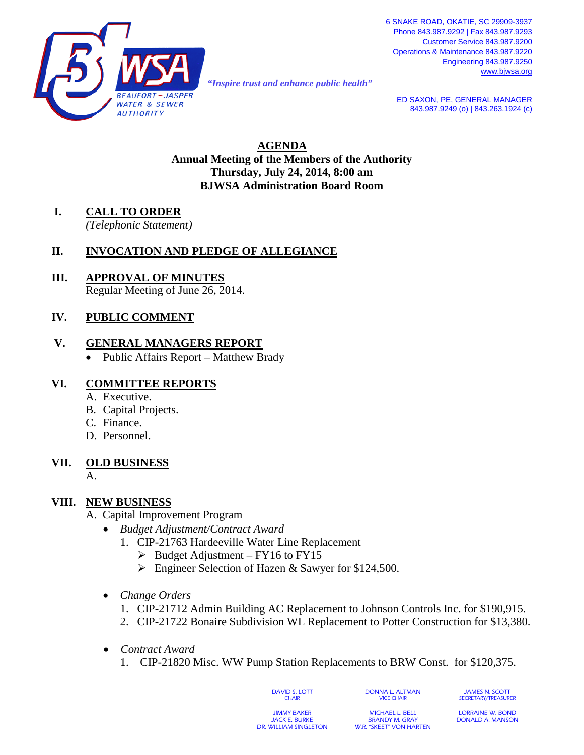

*"Inspire trust and enhance public health"* 

**ED SAXON, PE, GENERAL MANAGER** 843.987.9249 (o) | 843.263.1924 (c)

**AGENDA Annual Meeting of the Members of the Authority Thursday, July 24, 2014, 8:00 am BJWSA Administration Board Room**

**I. CALL TO ORDER**

*(Telephonic Statement)*

## **II. INVOCATION AND PLEDGE OF ALLEGIANCE**

**III. APPROVAL OF MINUTES** Regular Meeting of June 26, 2014.

# **IV. PUBLIC COMMENT**

#### **V. GENERAL MANAGERS REPORT**

• Public Affairs Report – Matthew Brady

#### **VI. COMMITTEE REPORTS**

- A. Executive.
- B. Capital Projects.
- C. Finance.
- D. Personnel.

# **VII. OLD BUSINESS**

A.

#### **VIII. NEW BUSINESS**

#### A. Capital Improvement Program

- *Budget Adjustment/Contract Award*
	- 1. CIP-21763 Hardeeville Water Line Replacement
		- $\triangleright$  Budget Adjustment FY16 to FY15
		- **Engineer Selection of Hazen & Sawyer for \$124,500.**
- *Change Orders*
	- 1. CIP-21712 Admin Building AC Replacement to Johnson Controls Inc. for \$190,915.
	- 2. CIP-21722 Bonaire Subdivision WL Replacement to Potter Construction for \$13,380.
- *Contract Award*
	- 1. CIP-21820 Misc. WW Pump Station Replacements to BRW Const. for \$120,375.

DAVID S. LOTT **CHAIR** 

JAMES N. SCOTT SECRETARY/TREASURER

JIMMY BAKER JACK E. BURKE DR. WILLIAM SINGLETON

MICHAEL L. BELL BRANDY M. GRAY W.R. "SKEET" VON HARTEN

DONNA L. ALTMAN VICE CHAIR

> LORRAINE W. BOND DONALD A. MANSON